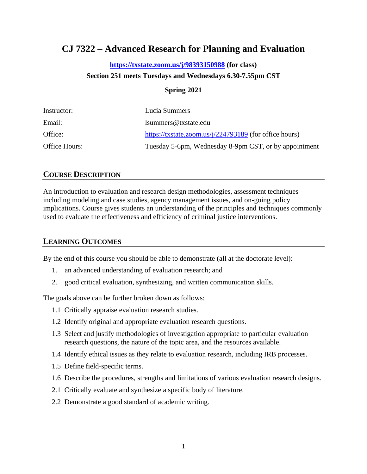# **CJ 7322 – Advanced Research for Planning and Evaluation**

#### **<https://txstate.zoom.us/j/98393150988> (for class)**

#### **Section 251 meets Tuesdays and Wednesdays 6.30-7.55pm CST**

#### **Spring 2021**

| Instructor:   | Lucia Summers                                          |
|---------------|--------------------------------------------------------|
| Email:        | lsummers@txstate.edu                                   |
| Office:       | https://txstate.zoom.us/j/224793189 (for office hours) |
| Office Hours: | Tuesday 5-6pm, Wednesday 8-9pm CST, or by appointment  |

### **COURSE DESCRIPTION**

An introduction to evaluation and research design methodologies, assessment techniques including modeling and case studies, agency management issues, and on-going policy implications. Course gives students an understanding of the principles and techniques commonly used to evaluate the effectiveness and efficiency of criminal justice interventions.

### **LEARNING OUTCOMES**

By the end of this course you should be able to demonstrate (all at the doctorate level):

- 1. an advanced understanding of evaluation research; and
- 2. good critical evaluation, synthesizing, and written communication skills.

The goals above can be further broken down as follows:

- 1.1 Critically appraise evaluation research studies.
- 1.2 Identify original and appropriate evaluation research questions.
- 1.3 Select and justify methodologies of investigation appropriate to particular evaluation research questions, the nature of the topic area, and the resources available.
- 1.4 Identify ethical issues as they relate to evaluation research, including IRB processes.
- 1.5 Define field-specific terms.
- 1.6 Describe the procedures, strengths and limitations of various evaluation research designs.
- 2.1 Critically evaluate and synthesize a specific body of literature.
- 2.2 Demonstrate a good standard of academic writing.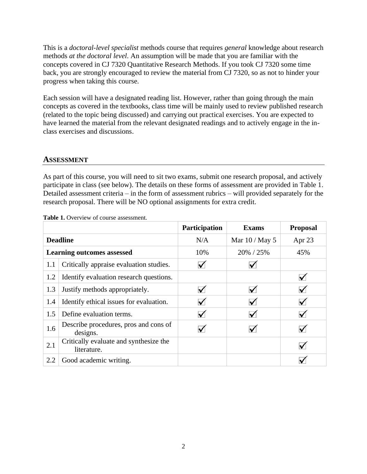This is a *doctoral-level specialist* methods course that requires *general* knowledge about research methods *at the doctoral level*. An assumption will be made that you are familiar with the concepts covered in CJ 7320 Quantitative Research Methods. If you took CJ 7320 some time back, you are strongly encouraged to review the material from CJ 7320, so as not to hinder your progress when taking this course.

Each session will have a designated reading list. However, rather than going through the main concepts as covered in the textbooks, class time will be mainly used to review published research (related to the topic being discussed) and carrying out practical exercises. You are expected to have learned the material from the relevant designated readings and to actively engage in the inclass exercises and discussions.

#### **ASSESSMENT**

As part of this course, you will need to sit two exams, submit one research proposal, and actively participate in class (see below). The details on these forms of assessment are provided in Table 1. Detailed assessment criteria – in the form of assessment rubrics – will provided separately for the research proposal. There will be NO optional assignments for extra credit.

|                 |                                                       | Participation        | <b>Exams</b>    | <b>Proposal</b> |
|-----------------|-------------------------------------------------------|----------------------|-----------------|-----------------|
| <b>Deadline</b> |                                                       | N/A                  | Mar $10/M$ ay 5 | Apr 23          |
|                 | <b>Learning outcomes assessed</b>                     | 10%                  | 20% / 25%       | 45%             |
| 1.1             | Critically appraise evaluation studies.               | $\checkmark$         |                 |                 |
| 1.2             | Identify evaluation research questions.               |                      |                 | $\checkmark$    |
| 1.3             | Justify methods appropriately.                        | $\checkmark$         |                 | ✓               |
| 1.4             | Identify ethical issues for evaluation.               | $\blacktriangledown$ |                 |                 |
| 1.5             | Define evaluation terms.                              | $\blacktriangledown$ | $\checkmark$    | $\checkmark$    |
| 1.6             | Describe procedures, pros and cons of<br>designs.     |                      |                 |                 |
| 2.1             | Critically evaluate and synthesize the<br>literature. |                      |                 |                 |
| 2.2             | Good academic writing.                                |                      |                 |                 |

Table 1. Overview of course assessment.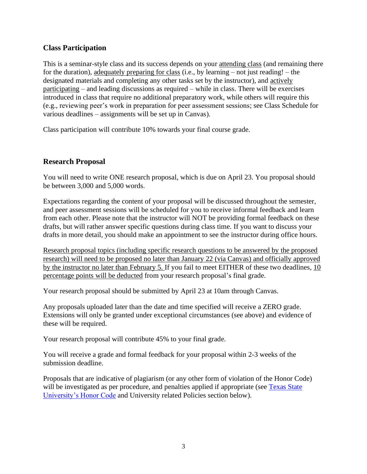### **Class Participation**

This is a seminar-style class and its success depends on your attending class (and remaining there for the duration), adequately preparing for class (i.e., by learning – not just reading! – the designated materials and completing any other tasks set by the instructor), and actively participating – and leading discussions as required – while in class. There will be exercises introduced in class that require no additional preparatory work, while others will require this (e.g., reviewing peer's work in preparation for peer assessment sessions; see Class Schedule for various deadlines – assignments will be set up in Canvas).

Class participation will contribute 10% towards your final course grade.

### **Research Proposal**

You will need to write ONE research proposal, which is due on April 23. You proposal should be between 3,000 and 5,000 words.

Expectations regarding the content of your proposal will be discussed throughout the semester, and peer assessment sessions will be scheduled for you to receive informal feedback and learn from each other. Please note that the instructor will NOT be providing formal feedback on these drafts, but will rather answer specific questions during class time. If you want to discuss your drafts in more detail, you should make an appointment to see the instructor during office hours.

Research proposal topics (including specific research questions to be answered by the proposed research) will need to be proposed no later than January 22 (via Canvas) and officially approved by the instructor no later than February 5. If you fail to meet EITHER of these two deadlines, 10 percentage points will be deducted from your research proposal's final grade.

Your research proposal should be submitted by April 23 at 10am through Canvas.

Any proposals uploaded later than the date and time specified will receive a ZERO grade. Extensions will only be granted under exceptional circumstances (see above) and evidence of these will be required.

Your research proposal will contribute 45% to your final grade.

You will receive a grade and formal feedback for your proposal within 2-3 weeks of the submission deadline.

Proposals that are indicative of plagiarism (or any other form of violation of the Honor Code) will be investigated as per procedure, and penalties applied if appropriate (see Texas State [University's Honor Code](http://www.txstate.edu/effective/upps/upps-07-10-01.html) and University related Policies section below).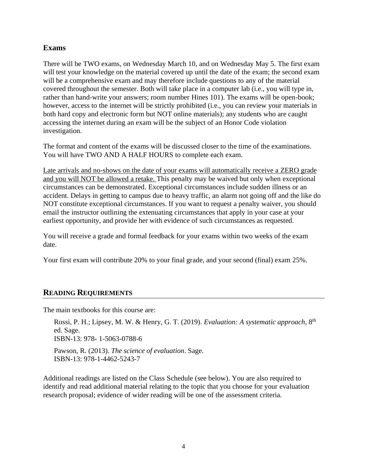#### **Exams**

There will be TWO exams, on Wednesday March 10, and on Wednesday May 5. The first exam will test your knowledge on the material covered up until the date of the exam; the second exam will be a comprehensive exam and may therefore include questions to any of the material covered throughout the semester. Both will take place in a computer lab (i.e., you will type in, rather than hand-write your answers; room number Hines 101). The exams will be open-book; however, access to the internet will be strictly prohibited (i.e., you can review your materials in both hard copy and electronic form but NOT online materials); any students who are caught accessing the internet during an exam will be the subject of an Honor Code violation investigation.

The format and content of the exams will be discussed closer to the time of the examinations. You will have TWO AND A HALF HOURS to complete each exam.

Late arrivals and no-shows on the date of your exams will automatically receive a ZERO grade and you will NOT be allowed a retake. This penalty may be waived but only when exceptional circumstances can be demonstrated. Exceptional circumstances include sudden illness or an accident. Delays in getting to campus due to heavy traffic, an alarm not going off and the like do NOT constitute exceptional circumstances. If you want to request a penalty waiver, you should email the instructor outlining the extenuating circumstances that apply in your case at your earliest opportunity, and provide her with evidence of such circumstances as requested.

You will receive a grade and formal feedback for your exams within two weeks of the exam date.

Your first exam will contribute 20% to your final grade, and your second (final) exam 25%.

## **READING REQUIREMENTS**

The main textbooks for this course are:

Rossi, P. H.; Lipsey, M. W. & Henry, G. T. (2019). *Evaluation: A systematic approach*, 8<sup>th</sup> ed. Sage. ISBN-13: 978- 1-5063-0788-6

Pawson, R. (2013). *The science of evaluation*. Sage. ISBN-13: 978-1-4462-5243-7

Additional readings are listed on the Class Schedule (see below). You are also required to identify and read additional material relating to the topic that you choose for your evaluation research proposal; evidence of wider reading will be one of the assessment criteria.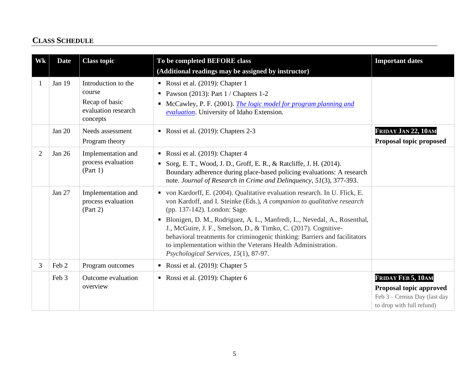## **CLASS SCHEDULE**

| Wk             | <b>Date</b> | <b>Class topic</b>                                                                 | To be completed BEFORE class<br>(Additional readings may be assigned by instructor)                                                                                                                                                                                                                                                                                                                                                                                                                                               | <b>Important dates</b>                                                                                     |
|----------------|-------------|------------------------------------------------------------------------------------|-----------------------------------------------------------------------------------------------------------------------------------------------------------------------------------------------------------------------------------------------------------------------------------------------------------------------------------------------------------------------------------------------------------------------------------------------------------------------------------------------------------------------------------|------------------------------------------------------------------------------------------------------------|
|                | Jan 19      | Introduction to the<br>course<br>Recap of basic<br>evaluation research<br>concepts | Rossi et al. (2019): Chapter 1<br>Pawson (2013): Part $1/$ Chapters 1-2<br>• McCawley, P. F. (2001). <i>The logic model for program planning and</i><br>evaluation. University of Idaho Extension.                                                                                                                                                                                                                                                                                                                                |                                                                                                            |
|                | Jan 20      | Needs assessment<br>Program theory                                                 | Rossi et al. (2019): Chapters 2-3                                                                                                                                                                                                                                                                                                                                                                                                                                                                                                 | FRIDAY JAN 22, 10AM<br>Proposal topic proposed                                                             |
| $\overline{2}$ | Jan 26      | Implementation and<br>process evaluation<br>(Part 1)                               | Rossi et al. (2019): Chapter 4<br>• Sorg, E. T., Wood, J. D., Groff, E. R., & Ratcliffe, J. H. (2014).<br>Boundary adherence during place-based policing evaluations: A research<br>note. Journal of Research in Crime and Delinquency, 51(3), 377-393.                                                                                                                                                                                                                                                                           |                                                                                                            |
|                | Jan 27      | Implementation and<br>process evaluation<br>(Part 2)                               | • von Kardorff, E. (2004). Qualitative evaluation research. In U. Flick, E.<br>von Kardoff, and I. Steinke (Eds.), A companion to qualitative research<br>(pp. 137-142). London: Sage.<br>Blonigen, D. M., Rodriguez, A. L., Manfredi, L., Nevedal, A., Rosenthal,<br>٠<br>J., McGuire, J. F., Smelson, D., & Timko, C. (2017). Cognitive-<br>behavioral treatments for criminogenic thinking: Barriers and facilitators<br>to implementation within the Veterans Health Administration.<br>Psychological Services, 15(1), 87-97. |                                                                                                            |
| 3              | Feb 2       | Program outcomes                                                                   | Rossi et al. $(2019)$ : Chapter 5                                                                                                                                                                                                                                                                                                                                                                                                                                                                                                 |                                                                                                            |
|                | Feb 3       | Outcome evaluation<br>overview                                                     | Rossi et al. $(2019)$ : Chapter 6                                                                                                                                                                                                                                                                                                                                                                                                                                                                                                 | FRIDAY FEB 5, 10AM<br>Proposal topic approved<br>Feb 3 – Census Day (last day<br>to drop with full refund) |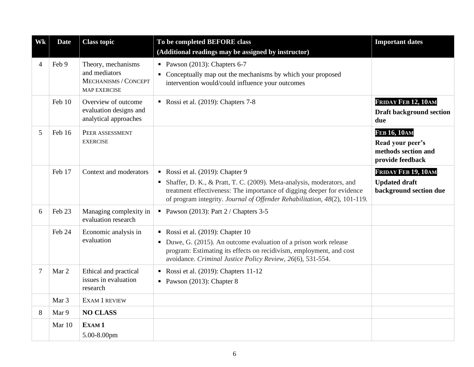| Wk             | <b>Date</b>      | <b>Class topic</b>                                                                 | To be completed BEFORE class<br>(Additional readings may be assigned by instructor)                                                                                                                                                                              | <b>Important dates</b>                                                             |
|----------------|------------------|------------------------------------------------------------------------------------|------------------------------------------------------------------------------------------------------------------------------------------------------------------------------------------------------------------------------------------------------------------|------------------------------------------------------------------------------------|
| $\overline{4}$ | Feb 9            | Theory, mechanisms<br>and mediators<br>MECHANISMS / CONCEPT<br><b>MAP EXERCISE</b> | Pawson $(2013)$ : Chapters 6-7<br>Conceptually map out the mechanisms by which your proposed<br>intervention would/could influence your outcomes                                                                                                                 |                                                                                    |
|                | Feb 10           | Overview of outcome<br>evaluation designs and<br>analytical approaches             | Rossi et al. (2019): Chapters 7-8                                                                                                                                                                                                                                | FRIDAY FEB 12, 10AM<br><b>Draft background section</b><br>due                      |
| 5              | Feb 16           | PEER ASSESSMENT<br><b>EXERCISE</b>                                                 |                                                                                                                                                                                                                                                                  | <b>FEB 16, 10AM</b><br>Read your peer's<br>methods section and<br>provide feedback |
|                | Feb 17           | Context and moderators                                                             | Rossi et al. (2019): Chapter 9<br>• Shaffer, D. K., & Pratt, T. C. (2009). Meta-analysis, moderators, and<br>treatment effectiveness: The importance of digging deeper for evidence<br>of program integrity. Journal of Offender Rehabilitation, 48(2), 101-119. | FRIDAY FEB 19, 10AM<br><b>Updated draft</b><br>background section due              |
| 6              | Feb 23           | Managing complexity in<br>evaluation research                                      | Pawson (2013): Part $2 /$ Chapters 3-5                                                                                                                                                                                                                           |                                                                                    |
|                | Feb 24           | Economic analysis in<br>evaluation                                                 | Rossi et al. (2019): Chapter 10<br>• Duwe, G. (2015). An outcome evaluation of a prison work release<br>program: Estimating its effects on recidivism, employment, and cost<br>avoidance. Criminal Justice Policy Review, 26(6), 531-554.                        |                                                                                    |
| $\overline{7}$ | Mar 2            | Ethical and practical<br>issues in evaluation<br>research                          | Rossi et al. (2019): Chapters 11-12<br>Pawson $(2013)$ : Chapter 8                                                                                                                                                                                               |                                                                                    |
|                | Mar <sub>3</sub> | <b>EXAM 1 REVIEW</b>                                                               |                                                                                                                                                                                                                                                                  |                                                                                    |
| 8              | Mar 9            | <b>NO CLASS</b>                                                                    |                                                                                                                                                                                                                                                                  |                                                                                    |
|                | Mar 10           | EXAM <sub>1</sub><br>5.00-8.00pm                                                   |                                                                                                                                                                                                                                                                  |                                                                                    |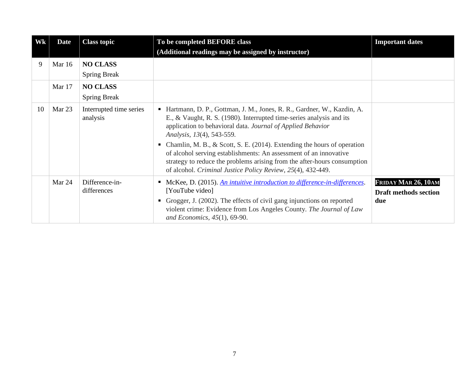| Wk | <b>Date</b> | <b>Class topic</b>                     | To be completed BEFORE class<br>(Additional readings may be assigned by instructor)                                                                                                                                                                                                                                                                                                                                                                                                                                                             | <b>Important dates</b>                                     |
|----|-------------|----------------------------------------|-------------------------------------------------------------------------------------------------------------------------------------------------------------------------------------------------------------------------------------------------------------------------------------------------------------------------------------------------------------------------------------------------------------------------------------------------------------------------------------------------------------------------------------------------|------------------------------------------------------------|
| 9  | Mar 16      | <b>NO CLASS</b><br><b>Spring Break</b> |                                                                                                                                                                                                                                                                                                                                                                                                                                                                                                                                                 |                                                            |
|    | Mar 17      | <b>NO CLASS</b><br><b>Spring Break</b> |                                                                                                                                                                                                                                                                                                                                                                                                                                                                                                                                                 |                                                            |
| 10 | Mar 23      | Interrupted time series<br>analysis    | Hartmann, D. P., Gottman, J. M., Jones, R. R., Gardner, W., Kazdin, A.<br>٠<br>E., & Vaught, R. S. (1980). Interrupted time-series analysis and its<br>application to behavioral data. Journal of Applied Behavior<br>Analysis, 13(4), 543-559.<br>Chamlin, M. B., & Scott, S. E. (2014). Extending the hours of operation<br>٠<br>of alcohol serving establishments: An assessment of an innovative<br>strategy to reduce the problems arising from the after-hours consumption<br>of alcohol. Criminal Justice Policy Review, 25(4), 432-449. |                                                            |
|    | Mar 24      | Difference-in-<br>differences          | McKee, D. (2015). An intuitive introduction to difference-in-differences.<br>[YouTube video]<br>Grogger, J. (2002). The effects of civil gang injunctions on reported<br>٠<br>violent crime: Evidence from Los Angeles County. The Journal of Law<br>and Economics, $45(1)$ , 69-90.                                                                                                                                                                                                                                                            | FRIDAY MAR 26, 10AM<br><b>Draft methods section</b><br>due |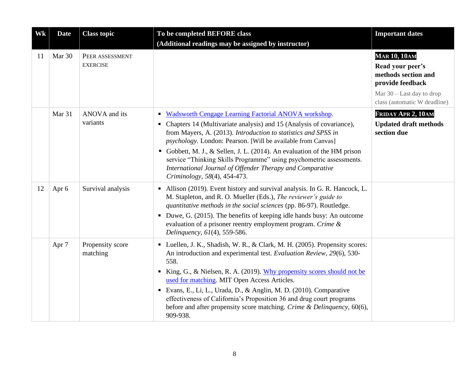| Wk | <b>Date</b> | <b>Class topic</b>                 | To be completed BEFORE class<br>(Additional readings may be assigned by instructor)                                                                                                                                                                                                                                                                                                                                                                                                                                              | <b>Important dates</b>                                                                                                                            |
|----|-------------|------------------------------------|----------------------------------------------------------------------------------------------------------------------------------------------------------------------------------------------------------------------------------------------------------------------------------------------------------------------------------------------------------------------------------------------------------------------------------------------------------------------------------------------------------------------------------|---------------------------------------------------------------------------------------------------------------------------------------------------|
| 11 | Mar 30      | PEER ASSESSMENT<br><b>EXERCISE</b> |                                                                                                                                                                                                                                                                                                                                                                                                                                                                                                                                  | <b>MAR 10, 10AM</b><br>Read your peer's<br>methods section and<br>provide feedback<br>Mar $30$ – Last day to drop<br>class (automatic W deadline) |
|    | Mar 31      | ANOVA and its<br>variants          | Wadsworth Cengage Learning Factorial ANOVA workshop.<br>٠<br>• Chapters 14 (Multivariate analysis) and 15 (Analysis of covariance),<br>from Mayers, A. (2013). Introduction to statistics and SPSS in<br>psychology. London: Pearson. [Will be available from Canvas]<br>• Gobbett, M. J., & Sellen, J. L. (2014). An evaluation of the HM prison<br>service "Thinking Skills Programme" using psychometric assessments.<br>International Journal of Offender Therapy and Comparative<br>Criminology, 58(4), 454-473.            | FRIDAY APR 2, 10AM<br><b>Updated draft methods</b><br>section due                                                                                 |
| 12 | Apr 6       | Survival analysis                  | Allison (2019). Event history and survival analysis. In G. R. Hancock, L.<br>M. Stapleton, and R. O. Mueller (Eds.), The reviewer's guide to<br>quantitative methods in the social sciences (pp. 86-97). Routledge.<br>• Duwe, G. (2015). The benefits of keeping idle hands busy: An outcome<br>evaluation of a prisoner reentry employment program. Crime &<br>Delinquency, 61(4), 559-586.                                                                                                                                    |                                                                                                                                                   |
|    | Apr 7       | Propensity score<br>matching       | • Luellen, J. K., Shadish, W. R., & Clark, M. H. (2005). Propensity scores:<br>An introduction and experimental test. Evaluation Review, 29(6), 530-<br>558.<br>King, G., & Nielsen, R. A. (2019). Why propensity scores should not be<br>п.<br>used for matching. MIT Open Access Articles.<br>Evans, E., Li, L., Urada, D., & Anglin, M. D. (2010). Comparative<br>effectiveness of California's Proposition 36 and drug court programs<br>before and after propensity score matching. Crime & Delinquency, 60(6),<br>909-938. |                                                                                                                                                   |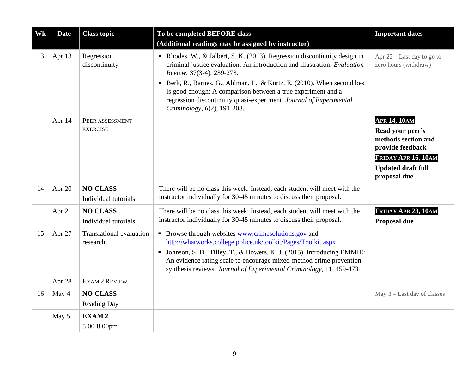| Wk | <b>Date</b> | <b>Class topic</b>                          | To be completed BEFORE class<br>(Additional readings may be assigned by instructor)                                                                                                                                                                                                                                                              | <b>Important dates</b>                                                                                                                                 |
|----|-------------|---------------------------------------------|--------------------------------------------------------------------------------------------------------------------------------------------------------------------------------------------------------------------------------------------------------------------------------------------------------------------------------------------------|--------------------------------------------------------------------------------------------------------------------------------------------------------|
| 13 | Apr 13      | Regression<br>discontinuity                 | • Rhodes, W., & Jalbert, S. K. (2013). Regression discontinuity design in<br>criminal justice evaluation: An introduction and illustration. Evaluation<br>Review, 37(3-4), 239-273.                                                                                                                                                              | Apr $22$ – Last day to go to<br>zero hours (withdraw)                                                                                                  |
|    |             |                                             | Berk, R., Barnes, G., Ahlman, L., & Kurtz, E. (2010). When second best<br>٠<br>is good enough: A comparison between a true experiment and a<br>regression discontinuity quasi-experiment. Journal of Experimental<br>Criminology, 6(2), 191-208.                                                                                                 |                                                                                                                                                        |
|    | Apr 14      | PEER ASSESSMENT<br><b>EXERCISE</b>          |                                                                                                                                                                                                                                                                                                                                                  | <b>APR 14, 10AM</b><br>Read your peer's<br>methods section and<br>provide feedback<br>FRIDAY APR 16, 10AM<br><b>Updated draft full</b><br>proposal due |
| 14 | Apr 20      | <b>NO CLASS</b><br>Individual tutorials     | There will be no class this week. Instead, each student will meet with the<br>instructor individually for 30-45 minutes to discuss their proposal.                                                                                                                                                                                               |                                                                                                                                                        |
|    | Apr 21      | <b>NO CLASS</b><br>Individual tutorials     | There will be no class this week. Instead, each student will meet with the<br>instructor individually for 30-45 minutes to discuss their proposal.                                                                                                                                                                                               | FRIDAY APR 23, 10AM<br>Proposal due                                                                                                                    |
| 15 | Apr 27      | <b>Translational evaluation</b><br>research | • Browse through websites www.crimesolutions.gov and<br>http://whatworks.college.police.uk/toolkit/Pages/Toolkit.aspx<br>• Johnson, S. D., Tilley, T., & Bowers, K. J. (2015). Introducing EMMIE:<br>An evidence rating scale to encourage mixed-method crime prevention<br>synthesis reviews. Journal of Experimental Criminology, 11, 459-473. |                                                                                                                                                        |
|    | Apr 28      | EXAM 2 REVIEW                               |                                                                                                                                                                                                                                                                                                                                                  |                                                                                                                                                        |
| 16 | May 4       | <b>NO CLASS</b><br><b>Reading Day</b>       |                                                                                                                                                                                                                                                                                                                                                  | May $3$ – Last day of classes                                                                                                                          |
|    | May 5       | EXAM <sub>2</sub>                           |                                                                                                                                                                                                                                                                                                                                                  |                                                                                                                                                        |
|    |             | 5.00-8.00pm                                 |                                                                                                                                                                                                                                                                                                                                                  |                                                                                                                                                        |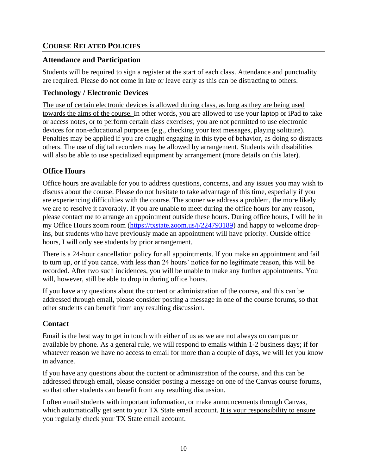## **COURSE RELATED POLICIES**

### **Attendance and Participation**

Students will be required to sign a register at the start of each class. Attendance and punctuality are required. Please do not come in late or leave early as this can be distracting to others.

### **Technology / Electronic Devices**

The use of certain electronic devices is allowed during class, as long as they are being used towards the aims of the course. In other words, you are allowed to use your laptop or iPad to take or access notes, or to perform certain class exercises; you are not permitted to use electronic devices for non-educational purposes (e.g., checking your text messages, playing solitaire). Penalties may be applied if you are caught engaging in this type of behavior, as doing so distracts others. The use of digital recorders may be allowed by arrangement. Students with disabilities will also be able to use specialized equipment by arrangement (more details on this later).

## **Office Hours**

Office hours are available for you to address questions, concerns, and any issues you may wish to discuss about the course. Please do not hesitate to take advantage of this time, especially if you are experiencing difficulties with the course. The sooner we address a problem, the more likely we are to resolve it favorably. If you are unable to meet during the office hours for any reason, please contact me to arrange an appointment outside these hours. During office hours, I will be in my Office Hours zoom room [\(https://txstate.zoom.us/j/224793189\)](https://txstate.zoom.us/j/224793189) and happy to welcome dropins, but students who have previously made an appointment will have priority. Outside office hours, I will only see students by prior arrangement.

There is a 24-hour cancellation policy for all appointments. If you make an appointment and fail to turn up, or if you cancel with less than 24 hours' notice for no legitimate reason, this will be recorded. After two such incidences, you will be unable to make any further appointments. You will, however, still be able to drop in during office hours.

If you have any questions about the content or administration of the course, and this can be addressed through email, please consider posting a message in one of the course forums, so that other students can benefit from any resulting discussion.

## **Contact**

Email is the best way to get in touch with either of us as we are not always on campus or available by phone. As a general rule, we will respond to emails within 1-2 business days; if for whatever reason we have no access to email for more than a couple of days, we will let you know in advance.

If you have any questions about the content or administration of the course, and this can be addressed through email, please consider posting a message on one of the Canvas course forums, so that other students can benefit from any resulting discussion.

I often email students with important information, or make announcements through Canvas, which automatically get sent to your TX State email account. It is your responsibility to ensure you regularly check your TX State email account.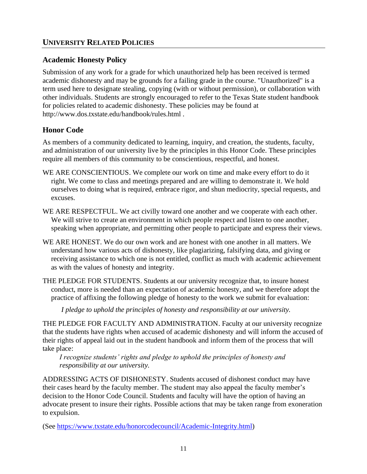## **Academic Honesty Policy**

Submission of any work for a grade for which unauthorized help has been received is termed academic dishonesty and may be grounds for a failing grade in the course. "Unauthorized" is a term used here to designate stealing, copying (with or without permission), or collaboration with other individuals. Students are strongly encouraged to refer to the Texas State student handbook for policies related to academic dishonesty. These policies may be found at http://www.dos.txstate.edu/handbook/rules.html .

## **Honor Code**

As members of a community dedicated to learning, inquiry, and creation, the students, faculty, and administration of our university live by the principles in this Honor Code. These principles require all members of this community to be conscientious, respectful, and honest.

- WE ARE CONSCIENTIOUS. We complete our work on time and make every effort to do it right. We come to class and meetings prepared and are willing to demonstrate it. We hold ourselves to doing what is required, embrace rigor, and shun mediocrity, special requests, and excuses.
- WE ARE RESPECTFUL. We act civilly toward one another and we cooperate with each other. We will strive to create an environment in which people respect and listen to one another, speaking when appropriate, and permitting other people to participate and express their views.
- WE ARE HONEST. We do our own work and are honest with one another in all matters. We understand how various acts of dishonesty, like plagiarizing, falsifying data, and giving or receiving assistance to which one is not entitled, conflict as much with academic achievement as with the values of honesty and integrity.
- THE PLEDGE FOR STUDENTS. Students at our university recognize that, to insure honest conduct, more is needed than an expectation of academic honesty, and we therefore adopt the practice of affixing the following pledge of honesty to the work we submit for evaluation:

*I pledge to uphold the principles of honesty and responsibility at our university.*

THE PLEDGE FOR FACULTY AND ADMINISTRATION. Faculty at our university recognize that the students have rights when accused of academic dishonesty and will inform the accused of their rights of appeal laid out in the student handbook and inform them of the process that will take place:

*I recognize students' rights and pledge to uphold the principles of honesty and responsibility at our university.*

ADDRESSING ACTS OF DISHONESTY. Students accused of dishonest conduct may have their cases heard by the faculty member. The student may also appeal the faculty member's decision to the Honor Code Council. Students and faculty will have the option of having an advocate present to insure their rights. Possible actions that may be taken range from exoneration to expulsion.

(See [https://www.txstate.edu/honorcodecouncil/Academic-Integrity.html\)](https://www.txstate.edu/honorcodecouncil/Academic-Integrity.html)